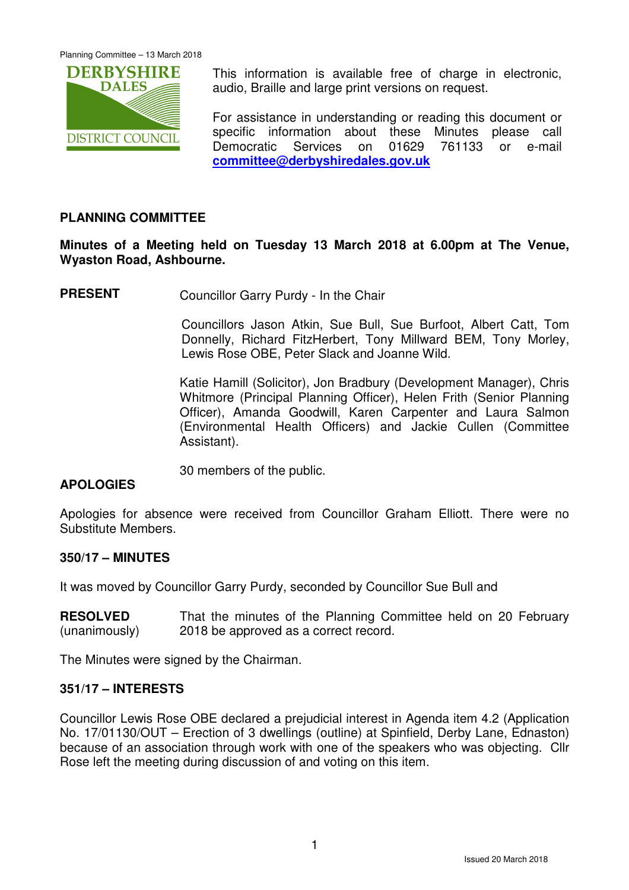

This information is available free of charge in electronic, audio, Braille and large print versions on request.

For assistance in understanding or reading this document or specific information about these Minutes please call Democratic Services on 01629 761133 or e-mail **committee@derbyshiredales.gov.uk**

## **PLANNING COMMITTEE**

## **Minutes of a Meeting held on Tuesday 13 March 2018 at 6.00pm at The Venue, Wyaston Road, Ashbourne.**

**PRESENT** Councillor Garry Purdy - In the Chair

 Councillors Jason Atkin, Sue Bull, Sue Burfoot, Albert Catt, Tom Donnelly, Richard FitzHerbert, Tony Millward BEM, Tony Morley, Lewis Rose OBE, Peter Slack and Joanne Wild.

Katie Hamill (Solicitor), Jon Bradbury (Development Manager), Chris Whitmore (Principal Planning Officer), Helen Frith (Senior Planning Officer), Amanda Goodwill, Karen Carpenter and Laura Salmon (Environmental Health Officers) and Jackie Cullen (Committee Assistant).

30 members of the public.

## **APOLOGIES**

Apologies for absence were received from Councillor Graham Elliott. There were no Substitute Members.

## **350/17 – MINUTES**

It was moved by Councillor Garry Purdy, seconded by Councillor Sue Bull and

**RESOLVED** (unanimously) That the minutes of the Planning Committee held on 20 February 2018 be approved as a correct record.

The Minutes were signed by the Chairman.

#### **351/17 – INTERESTS**

Councillor Lewis Rose OBE declared a prejudicial interest in Agenda item 4.2 (Application No. 17/01130/OUT – Erection of 3 dwellings (outline) at Spinfield, Derby Lane, Ednaston) because of an association through work with one of the speakers who was objecting. Cllr Rose left the meeting during discussion of and voting on this item.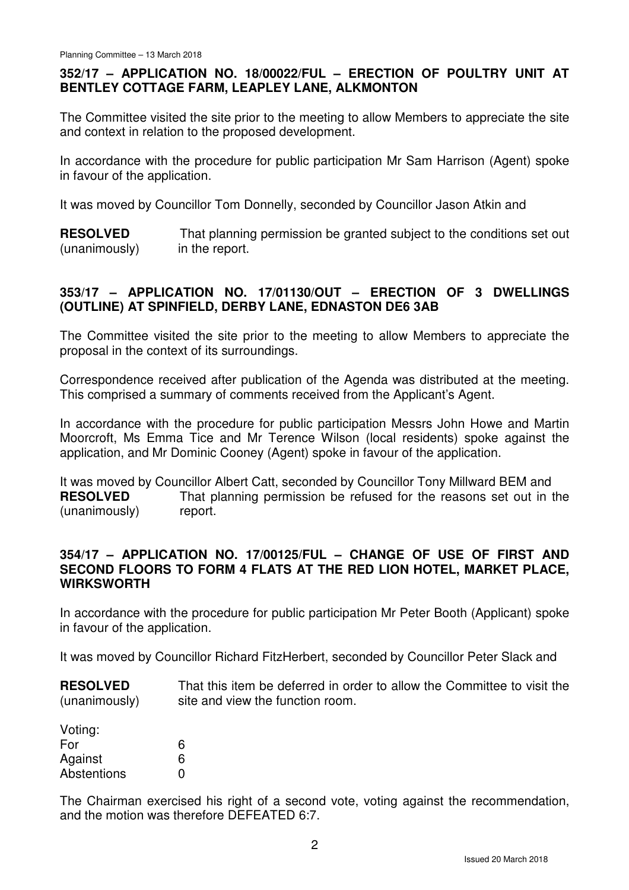# **352/17 – APPLICATION NO. 18/00022/FUL – ERECTION OF POULTRY UNIT AT BENTLEY COTTAGE FARM, LEAPLEY LANE, ALKMONTON**

The Committee visited the site prior to the meeting to allow Members to appreciate the site and context in relation to the proposed development.

In accordance with the procedure for public participation Mr Sam Harrison (Agent) spoke in favour of the application.

It was moved by Councillor Tom Donnelly, seconded by Councillor Jason Atkin and

**RESOLVED** (unanimously) That planning permission be granted subject to the conditions set out in the report.

# **353/17 – APPLICATION NO. 17/01130/OUT – ERECTION OF 3 DWELLINGS (OUTLINE) AT SPINFIELD, DERBY LANE, EDNASTON DE6 3AB**

The Committee visited the site prior to the meeting to allow Members to appreciate the proposal in the context of its surroundings.

Correspondence received after publication of the Agenda was distributed at the meeting. This comprised a summary of comments received from the Applicant's Agent.

In accordance with the procedure for public participation Messrs John Howe and Martin Moorcroft, Ms Emma Tice and Mr Terence Wilson (local residents) spoke against the application, and Mr Dominic Cooney (Agent) spoke in favour of the application.

It was moved by Councillor Albert Catt, seconded by Councillor Tony Millward BEM and **RESOLVED** (unanimously) That planning permission be refused for the reasons set out in the report.

## **354/17 – APPLICATION NO. 17/00125/FUL – CHANGE OF USE OF FIRST AND SECOND FLOORS TO FORM 4 FLATS AT THE RED LION HOTEL, MARKET PLACE, WIRKSWORTH**

In accordance with the procedure for public participation Mr Peter Booth (Applicant) spoke in favour of the application.

It was moved by Councillor Richard FitzHerbert, seconded by Councillor Peter Slack and

**RESOLVED** (unanimously) That this item be deferred in order to allow the Committee to visit the site and view the function room.

| Voting:     |   |
|-------------|---|
| For         | 6 |
| Against     | 6 |
| Abstentions | O |

The Chairman exercised his right of a second vote, voting against the recommendation, and the motion was therefore DEFEATED 6:7.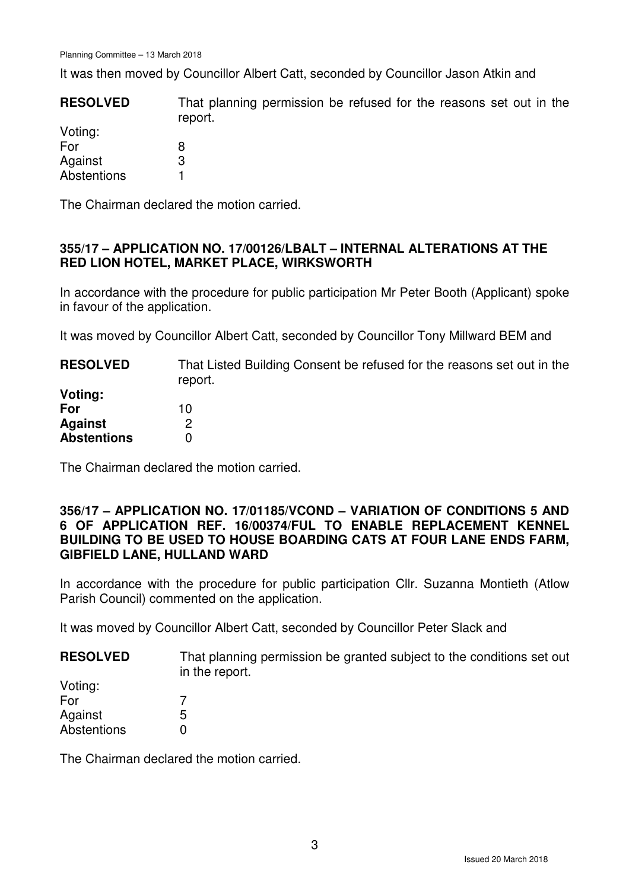It was then moved by Councillor Albert Catt, seconded by Councillor Jason Atkin and

| <b>RESOLVED</b> | That planning permission be refused for the reasons set out in the<br>report. |
|-----------------|-------------------------------------------------------------------------------|
| Voting:         |                                                                               |
| For             |                                                                               |
| Against         | 3                                                                             |
| Abstentions     |                                                                               |

The Chairman declared the motion carried.

## **355/17 – APPLICATION NO. 17/00126/LBALT – INTERNAL ALTERATIONS AT THE RED LION HOTEL, MARKET PLACE, WIRKSWORTH**

In accordance with the procedure for public participation Mr Peter Booth (Applicant) spoke in favour of the application.

It was moved by Councillor Albert Catt, seconded by Councillor Tony Millward BEM and

| <b>RESOLVED</b>    | That Listed Building Consent be refused for the reasons set out in the<br>report. |
|--------------------|-----------------------------------------------------------------------------------|
| Voting:            |                                                                                   |
| For                | 10                                                                                |
| <b>Against</b>     |                                                                                   |
| <b>Abstentions</b> |                                                                                   |

The Chairman declared the motion carried.

## **356/17 – APPLICATION NO. 17/01185/VCOND – VARIATION OF CONDITIONS 5 AND 6 OF APPLICATION REF. 16/00374/FUL TO ENABLE REPLACEMENT KENNEL BUILDING TO BE USED TO HOUSE BOARDING CATS AT FOUR LANE ENDS FARM, GIBFIELD LANE, HULLAND WARD**

In accordance with the procedure for public participation Cllr. Suzanna Montieth (Atlow Parish Council) commented on the application.

It was moved by Councillor Albert Catt, seconded by Councillor Peter Slack and

| <b>RESOLVED</b> | That planning permission be granted subject to the conditions set out |
|-----------------|-----------------------------------------------------------------------|
|                 | in the report.                                                        |

| 5 |
|---|
| ŋ |
|   |

The Chairman declared the motion carried.